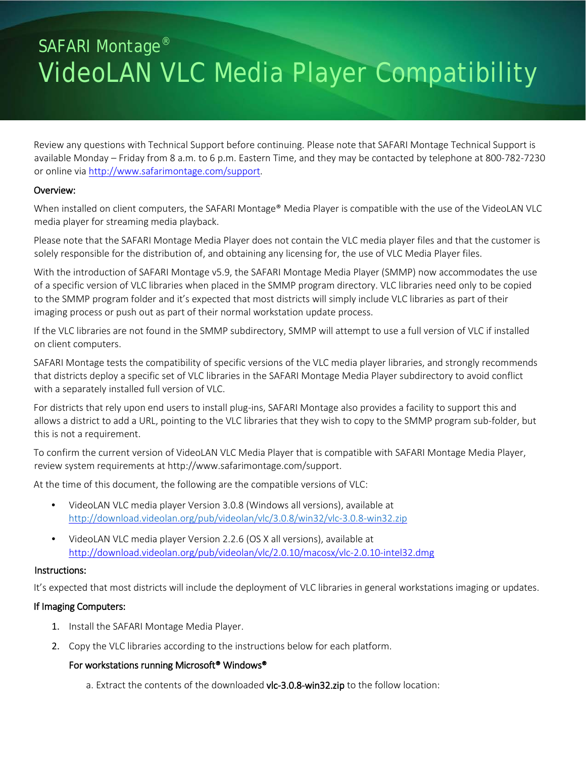# SAFARI Montage<sup>®</sup> VideoLAN VLC Media Player Compatibility

Review any questions with Technical Support before continuing. Please note that SAFARI Montage Technical Support is available Monday – Friday from 8 a.m. to 6 p.m. Eastern Time, and they may be contacted by telephone at 800-782-7230 or online vi[a http://www.safarimontage.com/support.](http://www.safarimontage.com/support)

#### Overview:

When installed on client computers, the SAFARI Montage® Media Player is compatible with the use of the VideoLAN VLC media player for streaming media playback.

Please note that the SAFARI Montage Media Player does not contain the VLC media player files and that the customer is solely responsible for the distribution of, and obtaining any licensing for, the use of VLC Media Player files.

With the introduction of SAFARI Montage v5.9, the SAFARI Montage Media Player (SMMP) now accommodates the use of a specific version of VLC libraries when placed in the SMMP program directory. VLC libraries need only to be copied to the SMMP program folder and it's expected that most districts will simply include VLC libraries as part of their imaging process or push out as part of their normal workstation update process.

If the VLC libraries are not found in the SMMP subdirectory, SMMP will attempt to use a full version of VLC if installed on client computers.

SAFARI Montage tests the compatibility of specific versions of the VLC media player libraries, and strongly recommends that districts deploy a specific set of VLC libraries in the SAFARI Montage Media Player subdirectory to avoid conflict with a separately installed full version of VLC.

For districts that rely upon end users to install plug-ins, SAFARI Montage also provides a facility to support this and allows a district to add a URL, pointing to the VLC libraries that they wish to copy to the SMMP program sub-folder, but this is not a requirement.

To confirm the current version of VideoLAN VLC Media Player that is compatible with SAFARI Montage Media Player, review system requirements at http://www.safarimontage.com/support.

At the time of this document, the following are the compatible versions of VLC:

- VideoLAN VLC media player Version 3.0.8 (Windows all versions), available at <http://download.videolan.org/pub/videolan/vlc/3.0.8/win32/vlc-3.0.8-win32.zip>
- VideoLAN VLC media player Version 2.2.6 (OS X all versions), available at <http://download.videolan.org/pub/videolan/vlc/2.0.10/macosx/vlc-2.0.10-intel32.dmg>

#### Instructions:

It's expected that most districts will include the deployment of VLC libraries in general workstations imaging or updates.

# If Imaging Computers:

- 1. Install the SAFARI Montage Media Player.
- 2. Copy the VLC libraries according to the instructions below for each platform.

#### For workstations running Microsoft® Windows®

a. Extract the contents of the downloaded vlc-3.0.8-win32.zip to the follow location: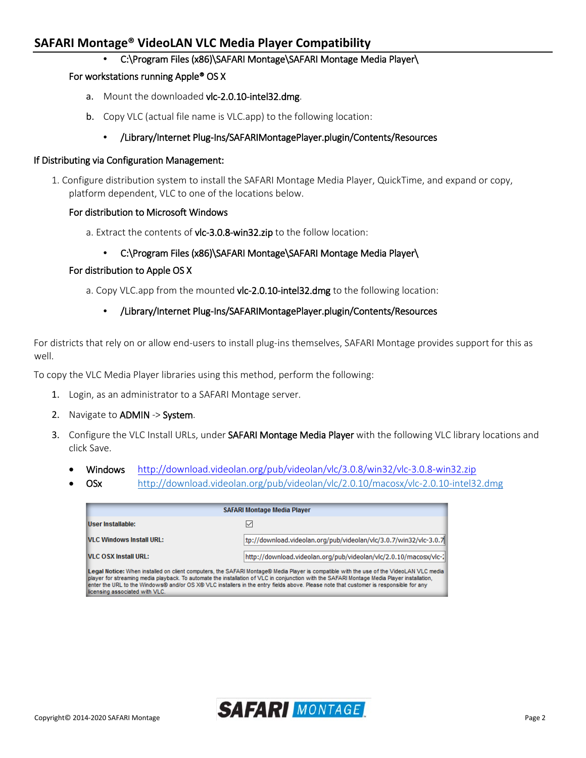# **SAFARI Montage® VideoLAN VLC Media Player Compatibility**

• C:\Program Files (x86)\SAFARI Montage\SAFARI Montage Media Player\

#### For workstations running Apple® OS X

- a. Mount the downloaded vlc-2.0.10-intel32.dmg.
- b. Copy VLC (actual file name is VLC.app) to the following location:

# • /Library/Internet Plug-Ins/SAFARIMontagePlayer.plugin/Contents/Resources

#### If Distributing via Configuration Management:

1. Configure distribution system to install the SAFARI Montage Media Player, QuickTime, and expand or copy, platform dependent, VLC to one of the locations below.

#### For distribution to Microsoft Windows

a. Extract the contents of vlc-3.0.8-win32.zip to the follow location:

# • C:\Program Files (x86)\SAFARI Montage\SAFARI Montage Media Player\

# For distribution to Apple OS X

a. Copy VLC.app from the mounted vlc-2.0.10-intel32.dmg to the following location:

# • /Library/Internet Plug-Ins/SAFARIMontagePlayer.plugin/Contents/Resources

For districts that rely on or allow end-users to install plug-ins themselves, SAFARI Montage provides support for this as well.

To copy the VLC Media Player libraries using this method, perform the following:

- 1. Login, as an administrator to a SAFARI Montage server.
- 2. Navigate to ADMIN -> System.
- 3. Configure the VLC Install URLs, under SAFARI Montage Media Player with the following VLC library locations and click Save.
	- Windows <http://download.videolan.org/pub/videolan/vlc/3.0.8/win32/vlc-3.0.8-win32.zip>
	- OSx <http://download.videolan.org/pub/videolan/vlc/2.0.10/macosx/vlc-2.0.10-intel32.dmg>

| <b>SAFARI Montage Media Player</b>                                                                                                                                                                                                                                                                                                                                                                                                                               |                                                                   |  |  |  |
|------------------------------------------------------------------------------------------------------------------------------------------------------------------------------------------------------------------------------------------------------------------------------------------------------------------------------------------------------------------------------------------------------------------------------------------------------------------|-------------------------------------------------------------------|--|--|--|
| User Installable:                                                                                                                                                                                                                                                                                                                                                                                                                                                |                                                                   |  |  |  |
| VLC Windows Install URL:                                                                                                                                                                                                                                                                                                                                                                                                                                         | tp://download.videolan.org/pub/videolan/vlc/3.0.7/win32/vlc-3.0.7 |  |  |  |
| VLC OSX Install URL:                                                                                                                                                                                                                                                                                                                                                                                                                                             | http://download.videolan.org/pub/videolan/vlc/2.0.10/macosx/vlc-2 |  |  |  |
| Legal Notice: When installed on client computers, the SAFARI Montage® Media Player is compatible with the use of the VideoLAN VLC media<br>player for streaming media playback. To automate the installation of VLC in conjunction with the SAFARI Montage Media Player installation,<br>enter the URL to the Windows® and/or OS X® VLC installers in the entry fields above. Please note that customer is responsible for any<br>licensing associated with VLC. |                                                                   |  |  |  |

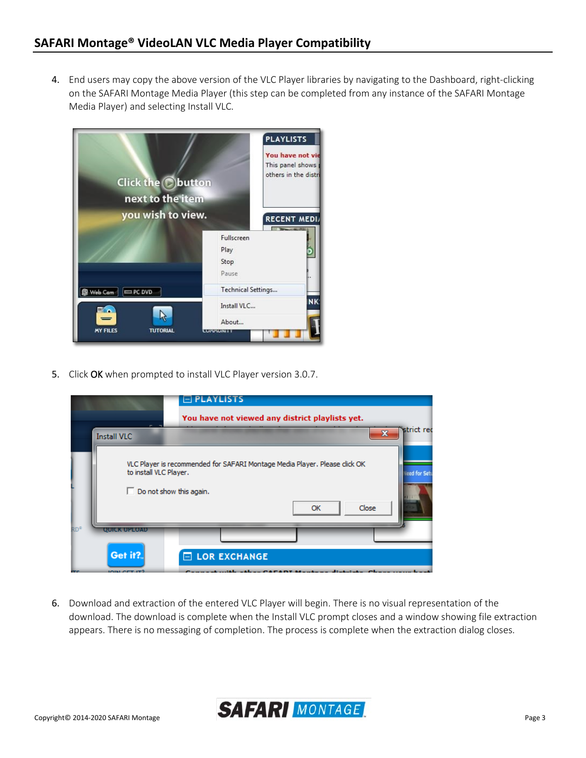4. End users may copy the above version of the VLC Player libraries by navigating to the Dashboard, right-clicking on the SAFARI Montage Media Player (this step can be completed from any instance of the SAFARI Montage Media Player) and selecting Install VLC.



5. Click OK when prompted to install VLC Player version 3.0.7.

|                 |                                                 | $\boxminus$ PLAYLISTS                                                                                                                       |  |  |  |  |
|-----------------|-------------------------------------------------|---------------------------------------------------------------------------------------------------------------------------------------------|--|--|--|--|
|                 | You have not viewed any district playlists yet. |                                                                                                                                             |  |  |  |  |
|                 | -<br><b>Install VLC</b>                         | strict rec<br>$\mathbf x$                                                                                                                   |  |  |  |  |
|                 | to install VLC Player.                          | VLC Player is recommended for SAFARI Montage Media Player. Please click OK<br>Need for Set<br>$\Box$ Do not show this again.<br>Close<br>OK |  |  |  |  |
| RD <sup>®</sup> | QUICK UPLOAD                                    |                                                                                                                                             |  |  |  |  |
|                 | Get it?                                         | $\Box$ LOR EXCHANGE                                                                                                                         |  |  |  |  |
| <b>Property</b> | <b>JOIN OFT IT?</b>                             | Concerns to a children the control of the California of<br>diam'r. An an an<br>-                                                            |  |  |  |  |

6. Download and extraction of the entered VLC Player will begin. There is no visual representation of the download. The download is complete when the Install VLC prompt closes and a window showing file extraction appears. There is no messaging of completion. The process is complete when the extraction dialog closes.